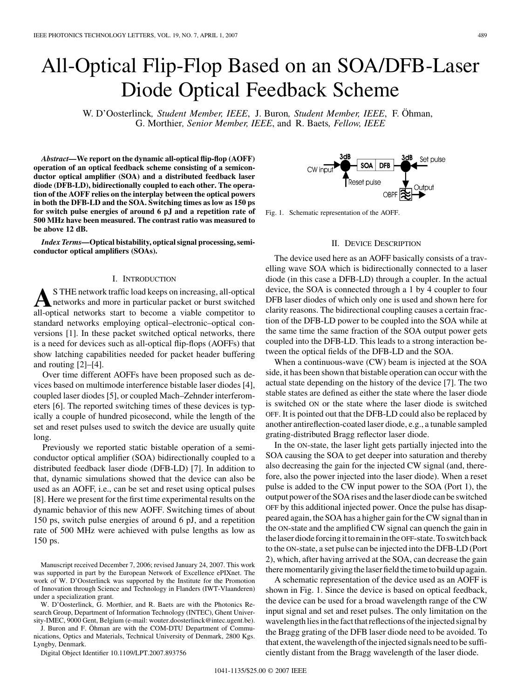# All-Optical Flip-Flop Based on an SOA/DFB-Laser Diode Optical Feedback Scheme

W. D'Oosterlinck*, Student Member, IEEE*, J. Buron*, Student Member, IEEE*, F. Öhman, G. Morthier*, Senior Member, IEEE*, and R. Baets*, Fellow, IEEE*

*Abstract—***We report on the dynamic all-optical flip-flop (AOFF) operation of an optical feedback scheme consisting of a semiconductor optical amplifier (SOA) and a distributed feedback laser diode (DFB-LD), bidirectionally coupled to each other. The operation of the AOFF relies on the interplay between the optical powers in both the DFB-LD and the SOA. Switching times as low as 150 ps for switch pulse energies of around 6 pJ and a repetition rate of 500 MHz have been measured. The contrast ratio was measured to be above 12 dB.**

*Index Terms—***Optical bistability, optical signal processing, semiconductor optical amplifiers (SOAs).**

#### I. INTRODUCTION

**A**S THE network traffic load keeps on increasing, all-optical networks and more in particular packet or burst switched all-optical networks start to become a viable competitor to standard networks employing optical–electronic–optical conversions [\[1\]](#page-2-0). In these packet switched optical networks, there is a need for devices such as all-optical flip-flops (AOFFs) that show latching capabilities needed for packet header buffering and routing [\[2\]–\[4\]](#page-2-0).

Over time different AOFFs have been proposed such as devices based on multimode interference bistable laser diodes [\[4\],](#page-2-0) coupled laser diodes [\[5\]](#page-2-0), or coupled Mach–Zehnder interferometers [\[6\]](#page-2-0). The reported switching times of these devices is typically a couple of hundred picosecond, while the length of the set and reset pulses used to switch the device are usually quite long.

Previously we reported static bistable operation of a semiconductor optical amplifier (SOA) bidirectionally coupled to a distributed feedback laser diode (DFB-LD) [\[7\]](#page-2-0). In addition to that, dynamic simulations showed that the device can also be used as an AOFF, i.e., can be set and reset using optical pulses [\[8\].](#page-2-0) Here we present for the first time experimental results on the dynamic behavior of this new AOFF. Switching times of about 150 ps, switch pulse energies of around 6 pJ, and a repetition rate of 500 MHz were achieved with pulse lengths as low as 150 ps.

W. D'Oosterlinck, G. Morthier, and R. Baets are with the Photonics Research Group, Department of Information Technology (INTEC), Ghent University-IMEC, 9000 Gent, Belgium (e-mail: wouter.doosterlinck@intec.ugent.be).

J. Buron and F. Öhman are with the COM-DTU Department of Communications, Optics and Materials, Technical University of Denmark, 2800 Kgs. Lyngby, Denmark.

Digital Object Identifier 10.1109/LPT.2007.893756



Fig. 1. Schematic representation of the AOFF.

## II. DEVICE DESCRIPTION

The device used here as an AOFF basically consists of a travelling wave SOA which is bidirectionally connected to a laser diode (in this case a DFB-LD) through a coupler. In the actual device, the SOA is connected through a 1 by 4 coupler to four DFB laser diodes of which only one is used and shown here for clarity reasons. The bidirectional coupling causes a certain fraction of the DFB-LD power to be coupled into the SOA while at the same time the same fraction of the SOA output power gets coupled into the DFB-LD. This leads to a strong interaction between the optical fields of the DFB-LD and the SOA.

When a continuous-wave (CW) beam is injected at the SOA side, it has been shown that bistable operation can occur with the actual state depending on the history of the device [\[7\]](#page-2-0). The two stable states are defined as either the state where the laser diode is switched ON or the state where the laser diode is switched OFF. It is pointed out that the DFB-LD could also be replaced by another antireflection-coated laser diode, e.g., a tunable sampled grating-distributed Bragg reflector laser diode.

In the ON-state, the laser light gets partially injected into the SOA causing the SOA to get deeper into saturation and thereby also decreasing the gain for the injected CW signal (and, therefore, also the power injected into the laser diode). When a reset pulse is added to the CW input power to the SOA (Port 1), the output power of the SOA rises and the laser diode can be switched OFF by this additional injected power. Once the pulse has disappeared again, the SOA has a higher gain for the CW signal than in the ON-state and the amplified CW signal can quench the gain in the laser diode forcing it to remain in the OFF-state. To switch back to the ON-state, a set pulse can be injected into the DFB-LD (Port 2), which, after having arrived at the SOA, can decrease the gain there momentarily giving the laser field the time to build up again.

A schematic representation of the device used as an AOFF is shown in Fig. 1. Since the device is based on optical feedback, the device can be used for a broad wavelength range of the CW input signal and set and reset pulses. The only limitation on the wavelength lies in the fact that reflections of the injected signal by the Bragg grating of the DFB laser diode need to be avoided. To that extent, the wavelength of the injected signals need to be sufficiently distant from the Bragg wavelength of the laser diode.

Manuscript received December 7, 2006; revised January 24, 2007. This work was supported in part by the European Network of Excellence ePIXnet. The work of W. D'Oosterlinck was supported by the Institute for the Promotion of Innovation through Science and Technology in Flanders (IWT-Vlaanderen) under a specialization grant.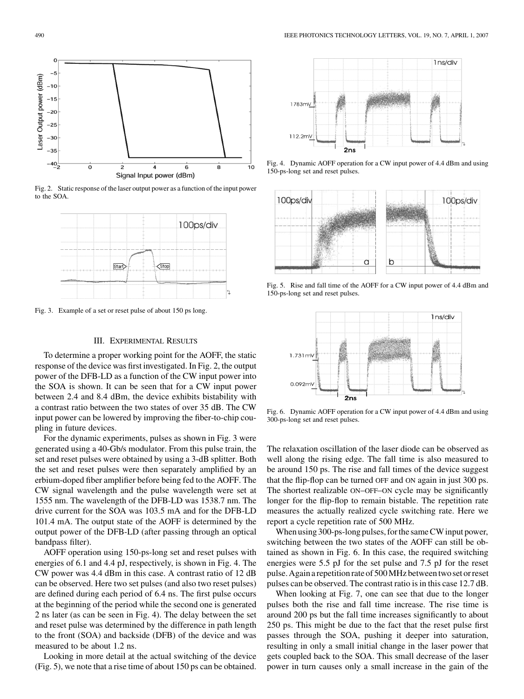<span id="page-1-0"></span>

Fig. 2. Static response of the laser output power as a function of the input power to the SOA.



Fig. 3. Example of a set or reset pulse of about 150 ps long.

## III. EXPERIMENTAL RESULTS

To determine a proper working point for the AOFF, the static response of the device was first investigated. In Fig. 2, the output power of the DFB-LD as a function of the CW input power into the SOA is shown. It can be seen that for a CW input power between 2.4 and 8.4 dBm, the device exhibits bistability with a contrast ratio between the two states of over 35 dB. The CW input power can be lowered by improving the fiber-to-chip coupling in future devices.

For the dynamic experiments, pulses as shown in Fig. 3 were generated using a 40-Gb/s modulator. From this pulse train, the set and reset pulses were obtained by using a 3-dB splitter. Both the set and reset pulses were then separately amplified by an erbium-doped fiber amplifier before being fed to the AOFF. The CW signal wavelength and the pulse wavelength were set at 1555 nm. The wavelength of the DFB-LD was 1538.7 nm. The drive current for the SOA was 103.5 mA and for the DFB-LD 101.4 mA. The output state of the AOFF is determined by the output power of the DFB-LD (after passing through an optical bandpass filter).

AOFF operation using 150-ps-long set and reset pulses with energies of 6.1 and 4.4 pJ, respectively, is shown in Fig. 4. The CW power was 4.4 dBm in this case. A contrast ratio of 12 dB can be observed. Here two set pulses (and also two reset pulses) are defined during each period of 6.4 ns. The first pulse occurs at the beginning of the period while the second one is generated 2 ns later (as can be seen in Fig. 4). The delay between the set and reset pulse was determined by the difference in path length to the front (SOA) and backside (DFB) of the device and was measured to be about 1.2 ns.

Looking in more detail at the actual switching of the device (Fig. 5), we note that a rise time of about 150 ps can be obtained.



Fig. 4. Dynamic AOFF operation for a CW input power of 4.4 dBm and using 150-ps-long set and reset pulses.



Fig. 5. Rise and fall time of the AOFF for a CW input power of 4.4 dBm and 150-ps-long set and reset pulses.



Fig. 6. Dynamic AOFF operation for a CW input power of 4.4 dBm and using 300-ps-long set and reset pulses.

The relaxation oscillation of the laser diode can be observed as well along the rising edge. The fall time is also measured to be around 150 ps. The rise and fall times of the device suggest that the flip-flop can be turned OFF and ON again in just 300 ps. The shortest realizable ON–OFF–ON cycle may be significantly longer for the flip-flop to remain bistable. The repetition rate measures the actually realized cycle switching rate. Here we report a cycle repetition rate of 500 MHz.

When using 300-ps-long pulses, for the same CW input power, switching between the two states of the AOFF can still be obtained as shown in Fig. 6. In this case, the required switching energies were 5.5 pJ for the set pulse and 7.5 pJ for the reset pulse. Again a repetition rate of 500 MHz between two set or reset pulses can be observed. The contrast ratio is in this case 12.7 dB.

When looking at [Fig. 7](#page-2-0), one can see that due to the longer pulses both the rise and fall time increase. The rise time is around 200 ps but the fall time increases significantly to about 250 ps. This might be due to the fact that the reset pulse first passes through the SOA, pushing it deeper into saturation, resulting in only a small initial change in the laser power that gets coupled back to the SOA. This small decrease of the laser power in turn causes only a small increase in the gain of the